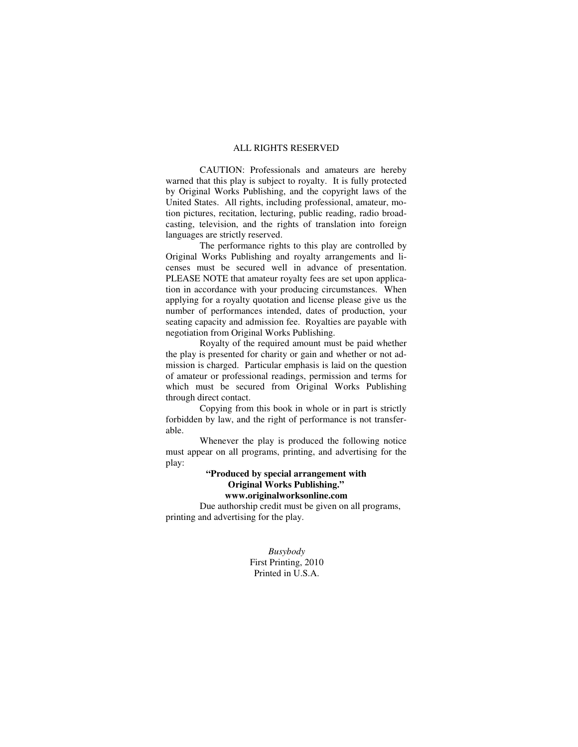#### ALL RIGHTS RESERVED

 CAUTION: Professionals and amateurs are hereby warned that this play is subject to royalty. It is fully protected by Original Works Publishing, and the copyright laws of the United States. All rights, including professional, amateur, motion pictures, recitation, lecturing, public reading, radio broadcasting, television, and the rights of translation into foreign languages are strictly reserved.

 The performance rights to this play are controlled by Original Works Publishing and royalty arrangements and licenses must be secured well in advance of presentation. PLEASE NOTE that amateur royalty fees are set upon application in accordance with your producing circumstances. When applying for a royalty quotation and license please give us the number of performances intended, dates of production, your seating capacity and admission fee. Royalties are payable with negotiation from Original Works Publishing.

 Royalty of the required amount must be paid whether the play is presented for charity or gain and whether or not admission is charged. Particular emphasis is laid on the question of amateur or professional readings, permission and terms for which must be secured from Original Works Publishing through direct contact.

 Copying from this book in whole or in part is strictly forbidden by law, and the right of performance is not transferable.

 Whenever the play is produced the following notice must appear on all programs, printing, and advertising for the play:

# **"Produced by special arrangement with Original Works Publishing."**

#### **www.originalworksonline.com**

 Due authorship credit must be given on all programs, printing and advertising for the play.

> *Busybody*  First Printing, 2010 Printed in U.S.A.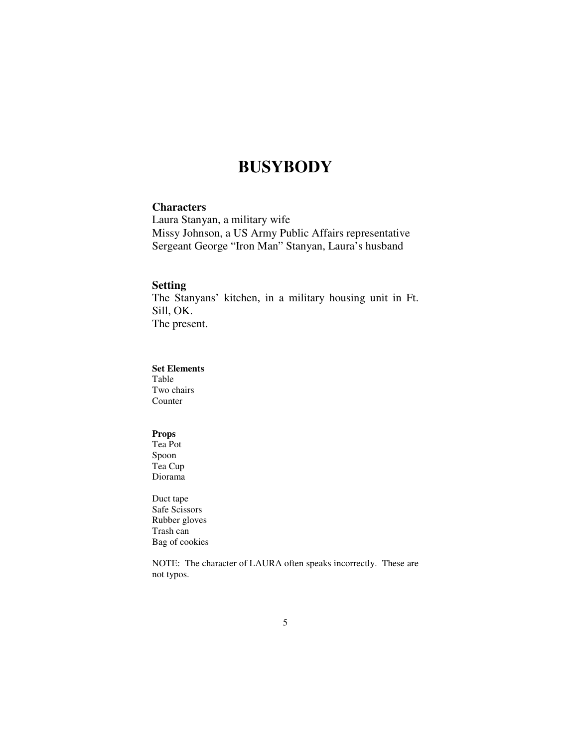# **BUSYBODY**

## **Characters**

Laura Stanyan, a military wife Missy Johnson, a US Army Public Affairs representative Sergeant George "Iron Man" Stanyan, Laura's husband

### **Setting**

The Stanyans' kitchen, in a military housing unit in Ft. Sill, OK. The present.

## **Set Elements**

Table Two chairs Counter

## **Props**

Tea Pot Spoon Tea Cup Diorama

Duct tape Safe Scissors Rubber gloves Trash can Bag of cookies

NOTE: The character of LAURA often speaks incorrectly. These are not typos.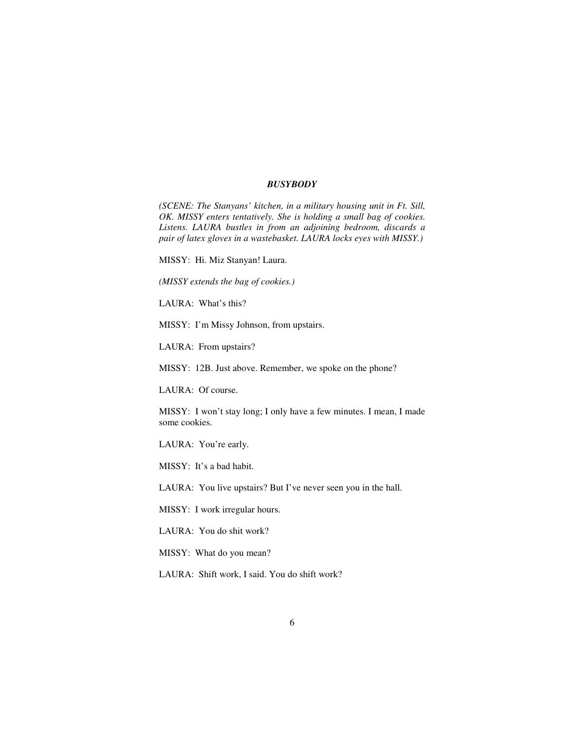#### *BUSYBODY*

*(SCENE: The Stanyans' kitchen, in a military housing unit in Ft. Sill, OK. MISSY enters tentatively. She is holding a small bag of cookies. Listens. LAURA bustles in from an adjoining bedroom, discards a pair of latex gloves in a wastebasket. LAURA locks eyes with MISSY.)* 

MISSY: Hi. Miz Stanyan! Laura.

*(MISSY extends the bag of cookies.)* 

LAURA: What's this?

MISSY: I'm Missy Johnson, from upstairs.

LAURA: From upstairs?

MISSY: 12B. Just above. Remember, we spoke on the phone?

LAURA: Of course.

MISSY: I won't stay long; I only have a few minutes. I mean, I made some cookies.

LAURA: You're early.

MISSY: It's a bad habit.

LAURA: You live upstairs? But I've never seen you in the hall.

MISSY: I work irregular hours.

LAURA: You do shit work?

MISSY: What do you mean?

LAURA: Shift work, I said. You do shift work?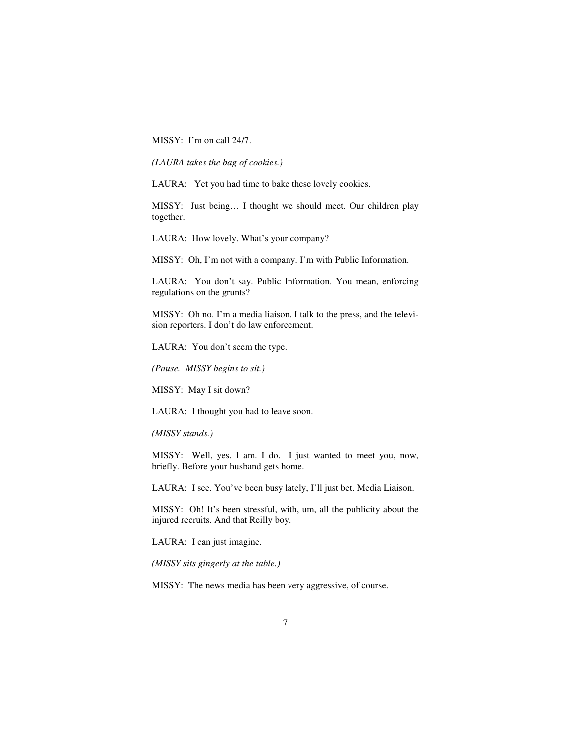MISSY: I'm on call 24/7.

*(LAURA takes the bag of cookies.)*

LAURA: Yet you had time to bake these lovely cookies.

MISSY: Just being… I thought we should meet. Our children play together.

LAURA: How lovely. What's your company?

MISSY: Oh, I'm not with a company. I'm with Public Information.

LAURA: You don't say. Public Information. You mean, enforcing regulations on the grunts?

MISSY: Oh no. I'm a media liaison. I talk to the press, and the television reporters. I don't do law enforcement.

LAURA: You don't seem the type.

*(Pause. MISSY begins to sit.)*

MISSY: May I sit down?

LAURA: I thought you had to leave soon.

*(MISSY stands.)* 

MISSY: Well, yes. I am. I do. I just wanted to meet you, now, briefly. Before your husband gets home.

LAURA: I see. You've been busy lately, I'll just bet. Media Liaison.

MISSY: Oh! It's been stressful, with, um, all the publicity about the injured recruits. And that Reilly boy.

LAURA: I can just imagine.

*(MISSY sits gingerly at the table.)* 

MISSY: The news media has been very aggressive, of course.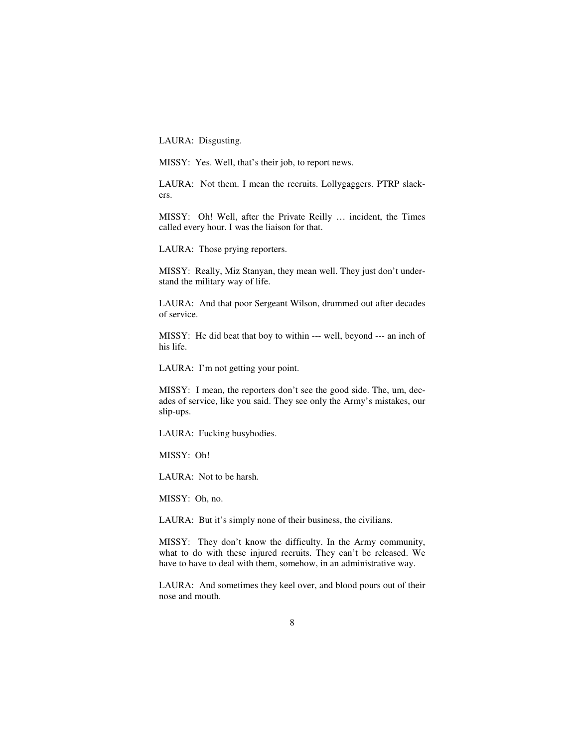LAURA: Disgusting.

MISSY: Yes. Well, that's their job, to report news.

LAURA: Not them. I mean the recruits. Lollygaggers. PTRP slackers.

MISSY: Oh! Well, after the Private Reilly … incident, the Times called every hour. I was the liaison for that.

LAURA: Those prying reporters.

MISSY: Really, Miz Stanyan, they mean well. They just don't understand the military way of life.

LAURA: And that poor Sergeant Wilson, drummed out after decades of service.

MISSY: He did beat that boy to within --- well, beyond --- an inch of his life.

LAURA: I'm not getting your point.

MISSY: I mean, the reporters don't see the good side. The, um, decades of service, like you said. They see only the Army's mistakes, our slip-ups.

LAURA: Fucking busybodies.

MISSY: Oh!

LAURA: Not to be harsh.

MISSY: Oh, no.

LAURA: But it's simply none of their business, the civilians.

MISSY: They don't know the difficulty. In the Army community, what to do with these injured recruits. They can't be released. We have to have to deal with them, somehow, in an administrative way.

LAURA: And sometimes they keel over, and blood pours out of their nose and mouth.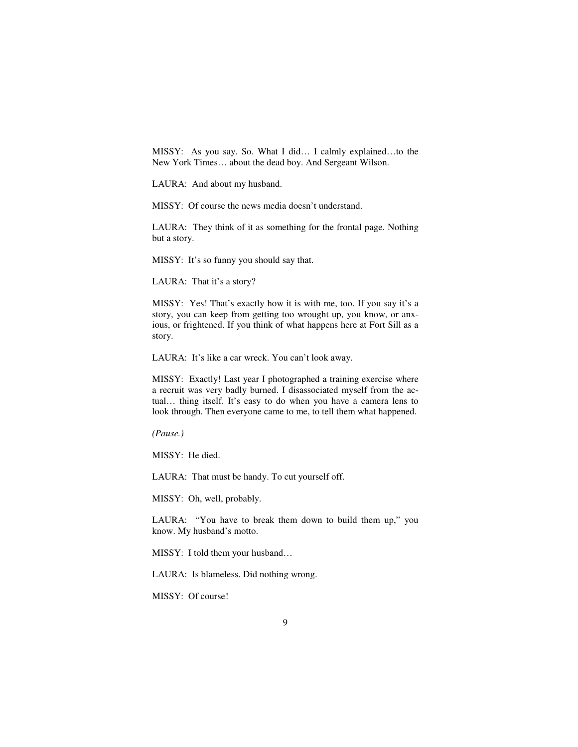MISSY: As you say. So. What I did… I calmly explained…to the New York Times… about the dead boy. And Sergeant Wilson.

LAURA: And about my husband.

MISSY: Of course the news media doesn't understand.

LAURA: They think of it as something for the frontal page. Nothing but a story.

MISSY: It's so funny you should say that.

LAURA: That it's a story?

MISSY: Yes! That's exactly how it is with me, too. If you say it's a story, you can keep from getting too wrought up, you know, or anxious, or frightened. If you think of what happens here at Fort Sill as a story.

LAURA: It's like a car wreck. You can't look away.

MISSY: Exactly! Last year I photographed a training exercise where a recruit was very badly burned. I disassociated myself from the actual… thing itself. It's easy to do when you have a camera lens to look through. Then everyone came to me, to tell them what happened.

*(Pause.)* 

MISSY: He died.

LAURA: That must be handy. To cut yourself off.

MISSY: Oh, well, probably.

LAURA: "You have to break them down to build them up," you know. My husband's motto.

MISSY: I told them your husband…

LAURA: Is blameless. Did nothing wrong.

MISSY: Of course!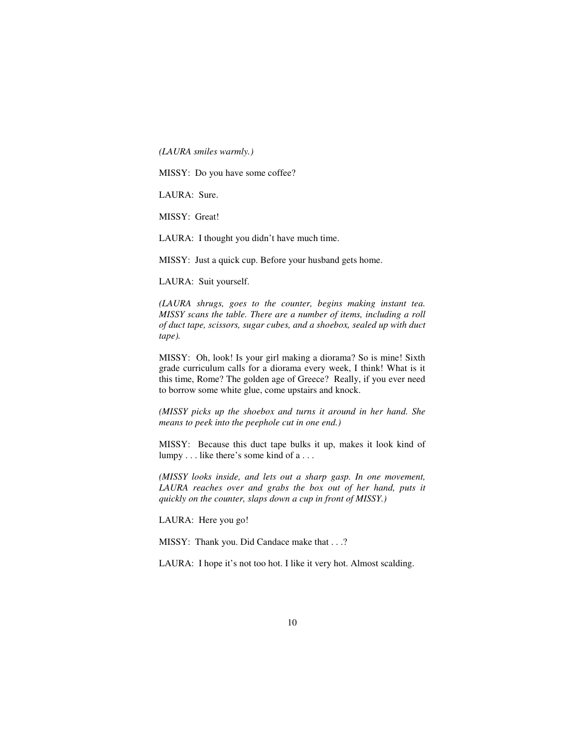*(LAURA smiles warmly.)* 

MISSY: Do you have some coffee?

LAURA: Sure.

MISSY: Great!

LAURA: I thought you didn't have much time.

MISSY: Just a quick cup. Before your husband gets home.

LAURA: Suit yourself.

*(LAURA shrugs, goes to the counter, begins making instant tea. MISSY scans the table. There are a number of items, including a roll of duct tape, scissors, sugar cubes, and a shoebox, sealed up with duct tape).* 

MISSY: Oh, look! Is your girl making a diorama? So is mine! Sixth grade curriculum calls for a diorama every week, I think! What is it this time, Rome? The golden age of Greece? Really, if you ever need to borrow some white glue, come upstairs and knock.

*(MISSY picks up the shoebox and turns it around in her hand. She means to peek into the peephole cut in one end.)* 

MISSY: Because this duct tape bulks it up, makes it look kind of lumpy . . . like there's some kind of a . . .

*(MISSY looks inside, and lets out a sharp gasp. In one movement,*  LAURA reaches over and grabs the box out of her hand, puts it *quickly on the counter, slaps down a cup in front of MISSY.)* 

LAURA: Here you go!

MISSY: Thank you. Did Candace make that . . .?

LAURA: I hope it's not too hot. I like it very hot. Almost scalding.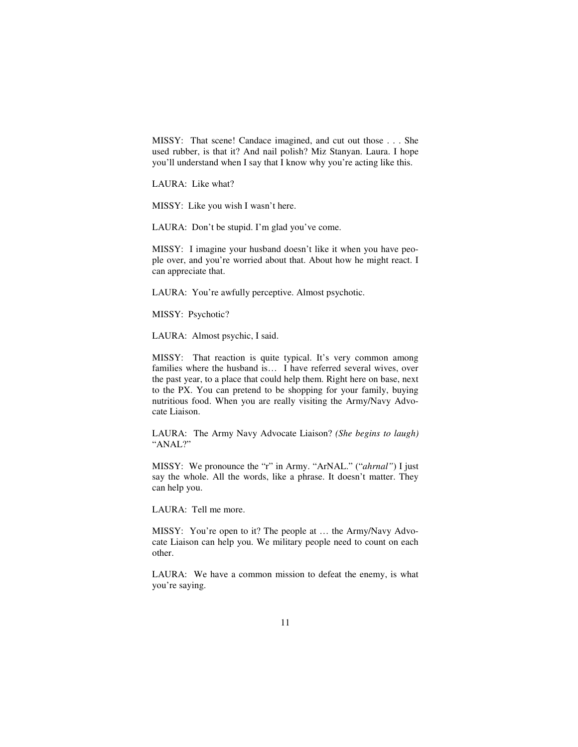MISSY: That scene! Candace imagined, and cut out those . . . She used rubber, is that it? And nail polish? Miz Stanyan. Laura. I hope you'll understand when I say that I know why you're acting like this.

LAURA: Like what?

MISSY: Like you wish I wasn't here.

LAURA: Don't be stupid. I'm glad you've come.

MISSY: I imagine your husband doesn't like it when you have people over, and you're worried about that. About how he might react. I can appreciate that.

LAURA: You're awfully perceptive. Almost psychotic.

MISSY: Psychotic?

LAURA: Almost psychic, I said.

MISSY: That reaction is quite typical. It's very common among families where the husband is… I have referred several wives, over the past year, to a place that could help them. Right here on base, next to the PX. You can pretend to be shopping for your family, buying nutritious food. When you are really visiting the Army/Navy Advocate Liaison.

LAURA: The Army Navy Advocate Liaison? *(She begins to laugh)* "ANAL?"

MISSY: We pronounce the "r" in Army. "ArNAL." ("*ahrnal"*) I just say the whole. All the words, like a phrase. It doesn't matter. They can help you.

LAURA: Tell me more.

MISSY: You're open to it? The people at … the Army/Navy Advocate Liaison can help you. We military people need to count on each other.

LAURA: We have a common mission to defeat the enemy, is what you're saying.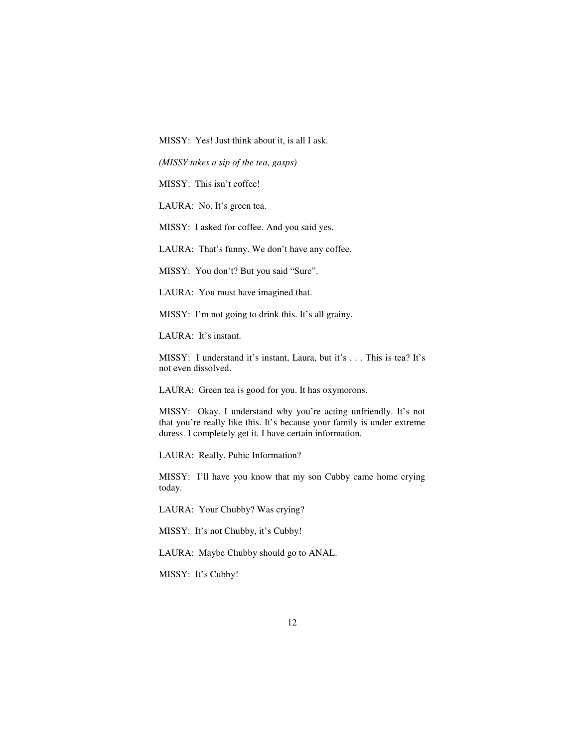MISSY: Yes! Just think about it, is all I ask.

*(MISSY takes a sip of the tea, gasps)* 

MISSY: This isn't coffee!

LAURA: No. It's green tea.

MISSY: I asked for coffee. And you said yes.

LAURA: That's funny. We don't have any coffee.

MISSY: You don't? But you said "Sure".

LAURA: You must have imagined that.

MISSY: I'm not going to drink this. It's all grainy.

LAURA: It's instant.

MISSY: I understand it's instant, Laura, but it's . . . This is tea? It's not even dissolved.

LAURA: Green tea is good for you. It has oxymorons.

MISSY: Okay. I understand why you're acting unfriendly. It's not that you're really like this. It's because your family is under extreme duress. I completely get it. I have certain information.

LAURA: Really. Pubic Information?

MISSY: I'll have you know that my son Cubby came home crying today.

LAURA: Your Chubby? Was crying?

MISSY: It's not Chubby, it's Cubby!

LAURA: Maybe Chubby should go to ANAL.

MISSY: It's Cubby!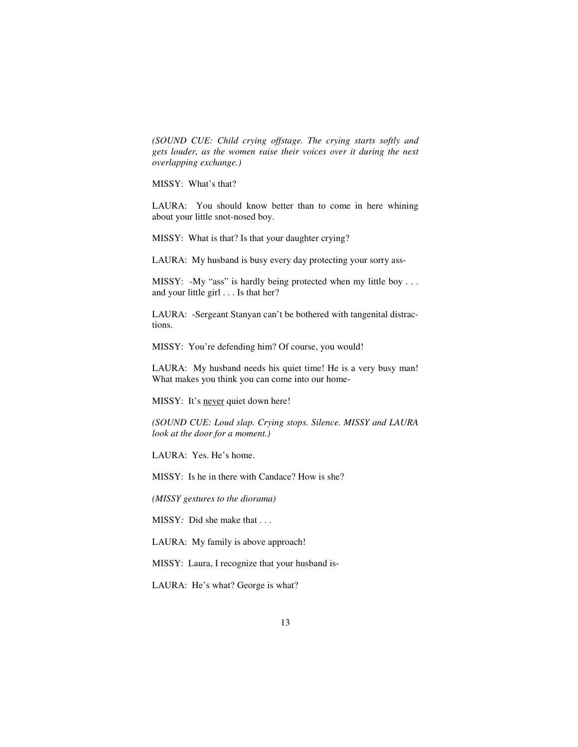*(SOUND CUE: Child crying offstage. The crying starts softly and gets louder, as the women raise their voices over it during the next overlapping exchange.)* 

MISSY: What's that?

LAURA: You should know better than to come in here whining about your little snot-nosed boy.

MISSY: What is that? Is that your daughter crying?

LAURA: My husband is busy every day protecting your sorry ass-

MISSY: -My "ass" is hardly being protected when my little boy . . . and your little girl . . . Is that her?

LAURA: -Sergeant Stanyan can't be bothered with tangenital distractions.

MISSY: You're defending him? Of course, you would!

LAURA: My husband needs his quiet time! He is a very busy man! What makes you think you can come into our home-

MISSY: It's never quiet down here!

*(SOUND CUE: Loud slap. Crying stops. Silence. MISSY and LAURA look at the door for a moment.)* 

LAURA: Yes. He's home.

MISSY: Is he in there with Candace? How is she?

*(MISSY gestures to the diorama)* 

MISSY*:* Did she make that . . .

LAURA: My family is above approach!

MISSY: Laura, I recognize that your husband is-

LAURA: He's what? George is what?